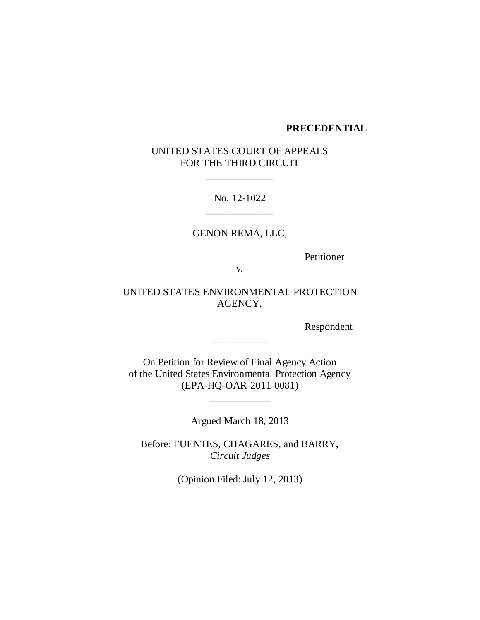#### **PRECEDENTIAL**

# UNITED STATES COURT OF APPEALS FOR THE THIRD CIRCUIT

\_\_\_\_\_\_\_\_\_\_\_\_\_

No. 12-1022 \_\_\_\_\_\_\_\_\_\_\_\_\_

GENON REMA, LLC,

Petitioner

v.

UNITED STATES ENVIRONMENTAL PROTECTION AGENCY,

Respondent

On Petition for Review of Final Agency Action of the United States Environmental Protection Agency (EPA-HQ-OAR-2011-0081)

\_\_\_\_\_\_\_\_\_\_\_\_

\_\_\_\_\_\_\_\_\_\_\_

Argued March 18, 2013

Before: FUENTES, CHAGARES, and BARRY, *Circuit Judges*

(Opinion Filed: July 12, 2013)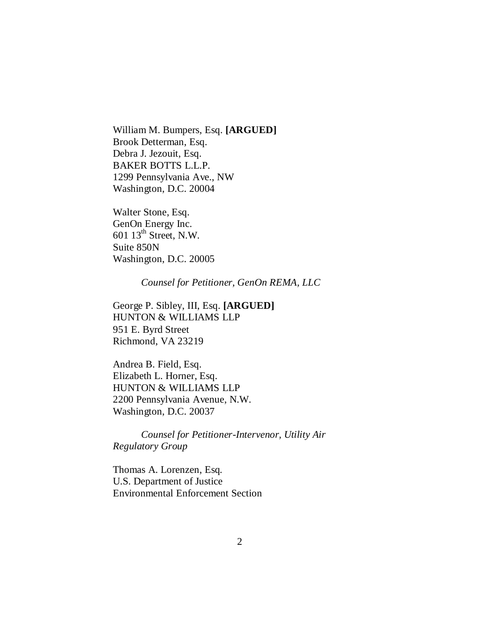William M. Bumpers, Esq. **[ARGUED]** Brook Detterman, Esq. Debra J. Jezouit, Esq. BAKER BOTTS L.L.P. 1299 Pennsylvania Ave., NW Washington, D.C. 20004

Walter Stone, Esq. GenOn Energy Inc. 601 13th Street, N.W. Suite 850N Washington, D.C. 20005

*Counsel for Petitioner, GenOn REMA, LLC* 

George P. Sibley, III, Esq. **[ARGUED]** HUNTON & WILLIAMS LLP 951 E. Byrd Street Richmond, VA 23219

Andrea B. Field, Esq. Elizabeth L. Horner, Esq. HUNTON & WILLIAMS LLP 2200 Pennsylvania Avenue, N.W. Washington, D.C. 20037

*Counsel for Petitioner-Intervenor, Utility Air Regulatory Group* 

Thomas A. Lorenzen, Esq. U.S. Department of Justice Environmental Enforcement Section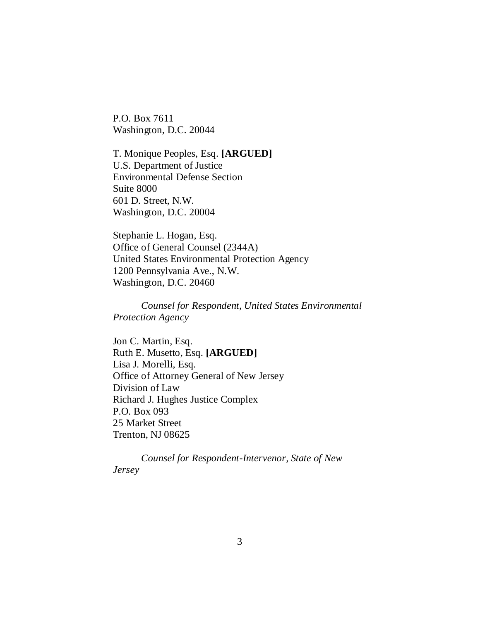P.O. Box 7611 Washington, D.C. 20044

T. Monique Peoples, Esq. **[ARGUED]** U.S. Department of Justice Environmental Defense Section Suite 8000 601 D. Street, N.W. Washington, D.C. 20004

Stephanie L. Hogan, Esq. Office of General Counsel (2344A) United States Environmental Protection Agency 1200 Pennsylvania Ave., N.W. Washington, D.C. 20460

*Counsel for Respondent, United States Environmental Protection Agency* 

Jon C. Martin, Esq. Ruth E. Musetto, Esq. **[ARGUED]** Lisa J. Morelli, Esq. Office of Attorney General of New Jersey Division of Law Richard J. Hughes Justice Complex P.O. Box 093 25 Market Street Trenton, NJ 08625

*Counsel for Respondent-Intervenor, State of New Jersey*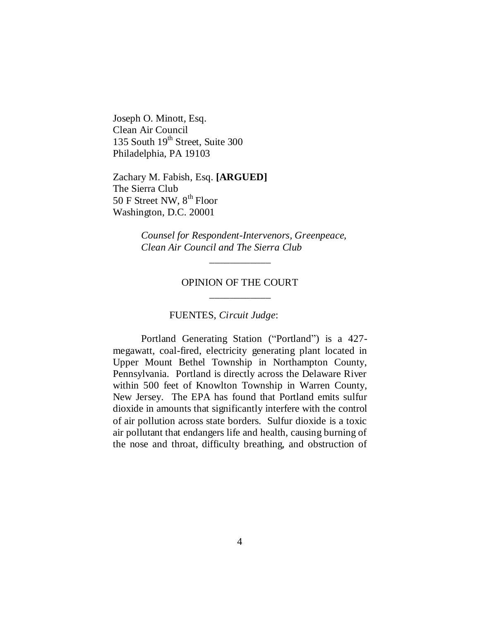Joseph O. Minott, Esq. Clean Air Council 135 South 19<sup>th</sup> Street, Suite 300 Philadelphia, PA 19103

Zachary M. Fabish, Esq. **[ARGUED]** The Sierra Club 50 F Street NW,  $8^{th}$  Floor Washington, D.C. 20001

> *Counsel for Respondent-Intervenors, Greenpeace, Clean Air Council and The Sierra Club*

# OPINION OF THE COURT \_\_\_\_\_\_\_\_\_\_\_\_

\_\_\_\_\_\_\_\_\_\_\_\_

### FUENTES, *Circuit Judge*:

Portland Generating Station ("Portland") is a 427megawatt, coal-fired, electricity generating plant located in Upper Mount Bethel Township in Northampton County, Pennsylvania. Portland is directly across the Delaware River within 500 feet of Knowlton Township in Warren County, New Jersey. The EPA has found that Portland emits sulfur dioxide in amounts that significantly interfere with the control of air pollution across state borders. Sulfur dioxide is a toxic air pollutant that endangers life and health, causing burning of the nose and throat, difficulty breathing, and obstruction of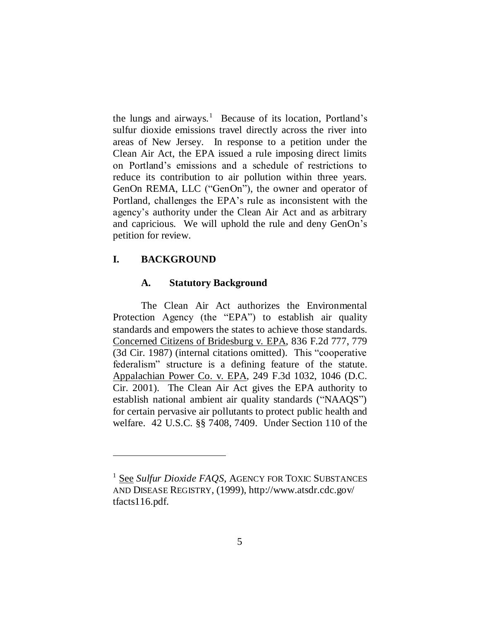the lungs and airways.<sup>1</sup> Because of its location, Portland's sulfur dioxide emissions travel directly across the river into areas of New Jersey. In response to a petition under the Clean Air Act, the EPA issued a rule imposing direct limits on Portland's emissions and a schedule of restrictions to reduce its contribution to air pollution within three years. GenOn REMA, LLC ("GenOn"), the owner and operator of Portland, challenges the EPA's rule as inconsistent with the agency's authority under the Clean Air Act and as arbitrary and capricious. We will uphold the rule and deny GenOn's petition for review.

# **I. BACKGROUND**

 $\overline{a}$ 

#### **A. Statutory Background**

The Clean Air Act authorizes the Environmental Protection Agency (the "EPA") to establish air quality standards and empowers the states to achieve those standards. Concerned Citizens of Bridesburg v. EPA, 836 F.2d 777, 779 (3d Cir. 1987) (internal citations omitted). This "cooperative federalism" structure is a defining feature of the statute. Appalachian Power Co. v. EPA, 249 F.3d 1032, 1046 (D.C. Cir. 2001). The Clean Air Act gives the EPA authority to establish national ambient air quality standards ("NAAQS") for certain pervasive air pollutants to protect public health and welfare. 42 U.S.C. §§ 7408, 7409. Under Section 110 of the

<sup>1</sup> See *Sulfur Dioxide FAQS*, AGENCY FOR TOXIC SUBSTANCES AND DISEASE REGISTRY, (1999), http://www.atsdr.cdc.gov/ tfacts116.pdf.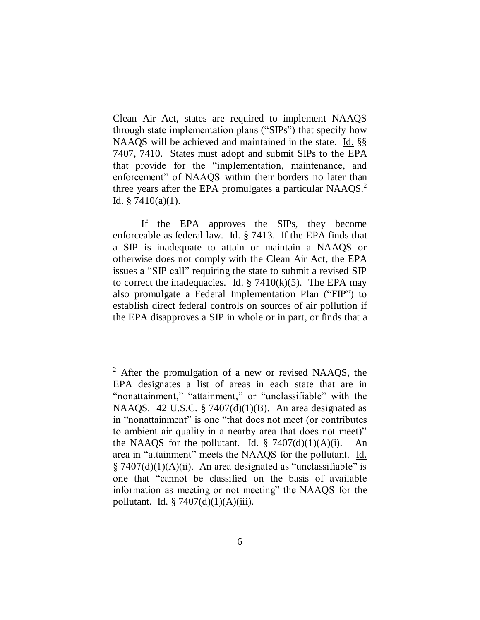Clean Air Act, states are required to implement NAAQS through state implementation plans ("SIPs") that specify how NAAQS will be achieved and maintained in the state. Id. §§ 7407, 7410. States must adopt and submit SIPs to the EPA that provide for the "implementation, maintenance, and enforcement" of NAAOS within their borders no later than three years after the EPA promulgates a particular NAAQS. $2$ Id.  $§ 7410(a)(1)$ .

If the EPA approves the SIPs, they become enforceable as federal law.  $\underline{Id}$ . § 7413. If the EPA finds that a SIP is inadequate to attain or maintain a NAAQS or otherwise does not comply with the Clean Air Act, the EPA issues a "SIP call" requiring the state to submit a revised SIP to correct the inadequacies. Id.  $\S$  7410(k)(5). The EPA may also promulgate a Federal Implementation Plan ("FIP") to establish direct federal controls on sources of air pollution if the EPA disapproves a SIP in whole or in part, or finds that a

 $2$  After the promulgation of a new or revised NAAQS, the EPA designates a list of areas in each state that are in "nonattainment," "attainment," or "unclassifiable" with the NAAQS. 42 U.S.C. § 7407 $(d)(1)(B)$ . An area designated as in "nonattainment" is one "that does not meet (or contributes to ambient air quality in a nearby area that does not meet)" the NAAQS for the pollutant. Id.  $\S$  7407(d)(1)(A)(i). An area in "attainment" meets the NAAQS for the pollutant. Id.  $\S$  7407(d)(1)(A)(ii). An area designated as "unclassifiable" is one that "cannot be classified on the basis of available information as meeting or not meeting" the NAAQS for the pollutant. Id.  $\frac{2}{3}$  7407(d)(1)(A)(iii).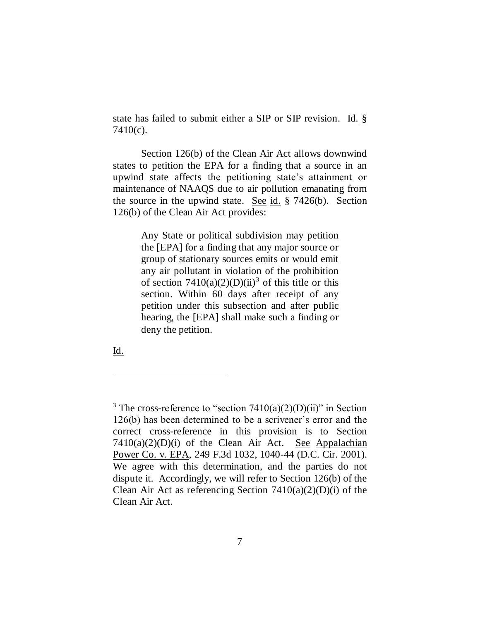state has failed to submit either a SIP or SIP revision. Id. § 7410(c).

Section 126(b) of the Clean Air Act allows downwind states to petition the EPA for a finding that a source in an upwind state affects the petitioning state's attainment or maintenance of NAAQS due to air pollution emanating from the source in the upwind state. See id. § 7426(b). Section 126(b) of the Clean Air Act provides:

> Any State or political subdivision may petition the [EPA] for a finding that any major source or group of stationary sources emits or would emit any air pollutant in violation of the prohibition of section  $7410(a)(2)(D)(ii)^3$  of this title or this section. Within 60 days after receipt of any petition under this subsection and after public hearing, the [EPA] shall make such a finding or deny the petition.

Id.

<sup>&</sup>lt;sup>3</sup> The cross-reference to "section  $7410(a)(2)(D)(ii)$ " in Section 126(b) has been determined to be a scrivener's error and the correct cross-reference in this provision is to Section  $7410(a)(2)(D)(i)$  of the Clean Air Act. See Appalachian Power Co. v. EPA, 249 F.3d 1032, 1040-44 (D.C. Cir. 2001). We agree with this determination, and the parties do not dispute it. Accordingly, we will refer to Section 126(b) of the Clean Air Act as referencing Section  $7410(a)(2)(D)(i)$  of the Clean Air Act.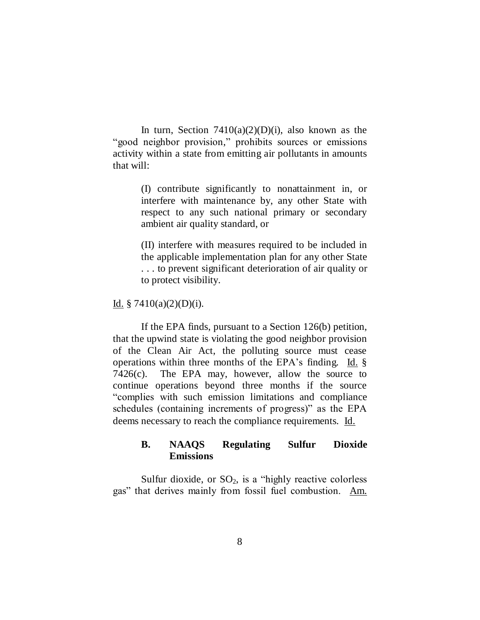In turn, Section  $7410(a)(2)(D)(i)$ , also known as the "good neighbor provision," prohibits sources or emissions activity within a state from emitting air pollutants in amounts that will:

> (I) contribute significantly to nonattainment in, or interfere with maintenance by, any other State with respect to any such national primary or secondary ambient air quality standard, or

> (II) interfere with measures required to be included in the applicable implementation plan for any other State . . . to prevent significant deterioration of air quality or to protect visibility.

Id.  $$7410(a)(2)(D)(i)$ .

If the EPA finds, pursuant to a Section 126(b) petition, that the upwind state is violating the good neighbor provision of the Clean Air Act, the polluting source must cease operations within three months of the EPA's finding. Id. §  $7426(c)$ . The EPA may, however, allow the source to continue operations beyond three months if the source ―complies with such emission limitations and compliance schedules (containing increments of progress)" as the EPA deems necessary to reach the compliance requirements. Id.

# **B. NAAQS Regulating Sulfur Dioxide Emissions**

Sulfur dioxide, or  $SO_2$ , is a "highly reactive colorless" gas" that derives mainly from fossil fuel combustion. Am.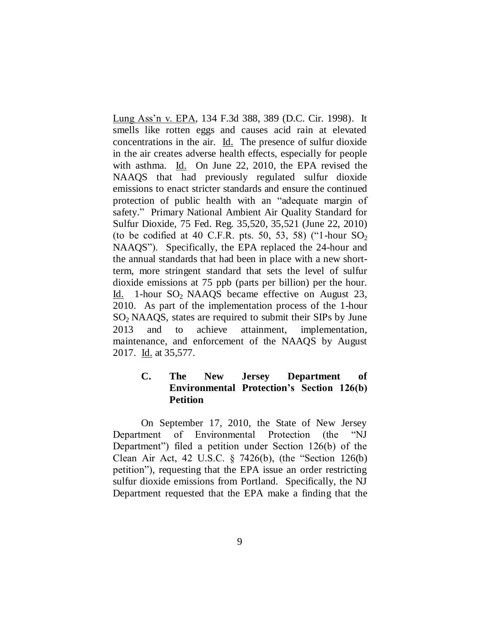Lung Ass'n v. EPA, 134 F.3d 388, 389 (D.C. Cir. 1998). It smells like rotten eggs and causes acid rain at elevated concentrations in the air. Id. The presence of sulfur dioxide in the air creates adverse health effects, especially for people with asthma. Id. On June 22, 2010, the EPA revised the NAAQS that had previously regulated sulfur dioxide emissions to enact stricter standards and ensure the continued protection of public health with an "adequate margin of safety." Primary National Ambient Air Quality Standard for Sulfur Dioxide, 75 Fed. Reg. 35,520, 35,521 (June 22, 2010) (to be codified at 40 C.F.R. pts. 50, 53, 58) ("1-hour  $SO_2$ NAAQS"). Specifically, the EPA replaced the 24-hour and the annual standards that had been in place with a new shortterm, more stringent standard that sets the level of sulfur dioxide emissions at 75 ppb (parts per billion) per the hour. Id. 1-hour  $SO_2$  NAAQS became effective on August 23, 2010. As part of the implementation process of the 1-hour  $SO<sub>2</sub>$  NAAQS, states are required to submit their SIPs by June 2013 and to achieve attainment, implementation, maintenance, and enforcement of the NAAQS by August 2017. Id. at 35,577.

# **C. The New Jersey Department of Environmental Protection's Section 126(b) Petition**

On September 17, 2010, the State of New Jersey Department of Environmental Protection (the "NJ Department") filed a petition under Section  $126(b)$  of the Clean Air Act, 42 U.S.C.  $\S$  7426(b), (the "Section 126(b) petition"), requesting that the EPA issue an order restricting sulfur dioxide emissions from Portland. Specifically, the NJ Department requested that the EPA make a finding that the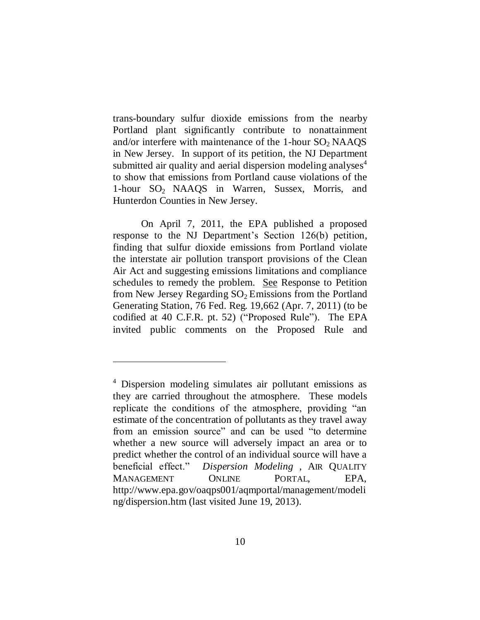trans-boundary sulfur dioxide emissions from the nearby Portland plant significantly contribute to nonattainment and/or interfere with maintenance of the 1-hour  $SO_2$  NAAQS in New Jersey. In support of its petition, the NJ Department submitted air quality and aerial dispersion modeling analyses $4$ to show that emissions from Portland cause violations of the 1-hour  $SO_2$  NAAQS in Warren, Sussex, Morris, and Hunterdon Counties in New Jersey.

On April 7, 2011, the EPA published a proposed response to the NJ Department's Section 126(b) petition, finding that sulfur dioxide emissions from Portland violate the interstate air pollution transport provisions of the Clean Air Act and suggesting emissions limitations and compliance schedules to remedy the problem. See Response to Petition from New Jersey Regarding  $SO<sub>2</sub>$  Emissions from the Portland Generating Station, 76 Fed. Reg. 19,662 (Apr. 7, 2011) (to be codified at 40 C.F.R. pt. 52) ("Proposed Rule"). The EPA invited public comments on the Proposed Rule and

 $\overline{a}$ 

<sup>4</sup> Dispersion modeling simulates air pollutant emissions as they are carried throughout the atmosphere. These models replicate the conditions of the atmosphere, providing "an estimate of the concentration of pollutants as they travel away from an emission source" and can be used "to determine" whether a new source will adversely impact an area or to predict whether the control of an individual source will have a beneficial effect.‖ *Dispersion Modeling* , AIR QUALITY MANAGEMENT ONLINE PORTAL, EPA, http://www.epa.gov/oaqps001/aqmportal/management/modeli ng/dispersion.htm (last visited June 19, 2013).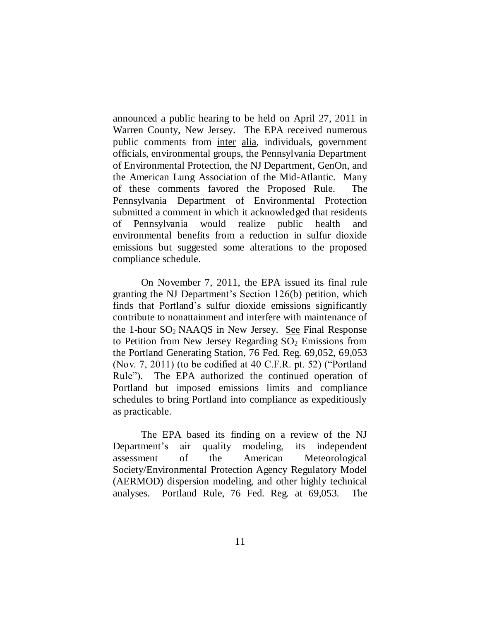announced a public hearing to be held on April 27, 2011 in Warren County, New Jersey. The EPA received numerous public comments from inter alia, individuals, government officials, environmental groups, the Pennsylvania Department of Environmental Protection, the NJ Department, GenOn, and the American Lung Association of the Mid-Atlantic. Many of these comments favored the Proposed Rule. The Pennsylvania Department of Environmental Protection submitted a comment in which it acknowledged that residents of Pennsylvania would realize public health and environmental benefits from a reduction in sulfur dioxide emissions but suggested some alterations to the proposed compliance schedule.

On November 7, 2011, the EPA issued its final rule granting the NJ Department's Section 126(b) petition, which finds that Portland's sulfur dioxide emissions significantly contribute to nonattainment and interfere with maintenance of the 1-hour  $SO<sub>2</sub>$  NAAQS in New Jersey. See Final Response to Petition from New Jersey Regarding  $SO<sub>2</sub>$  Emissions from the Portland Generating Station, 76 Fed. Reg. 69,052, 69,053 (Nov. 7, 2011) (to be codified at 40 C.F.R. pt. 52) ("Portland" Rule"). The EPA authorized the continued operation of Portland but imposed emissions limits and compliance schedules to bring Portland into compliance as expeditiously as practicable.

The EPA based its finding on a review of the NJ Department's air quality modeling, its independent assessment of the American Meteorological Society/Environmental Protection Agency Regulatory Model (AERMOD) dispersion modeling, and other highly technical analyses. Portland Rule, 76 Fed. Reg. at 69,053. The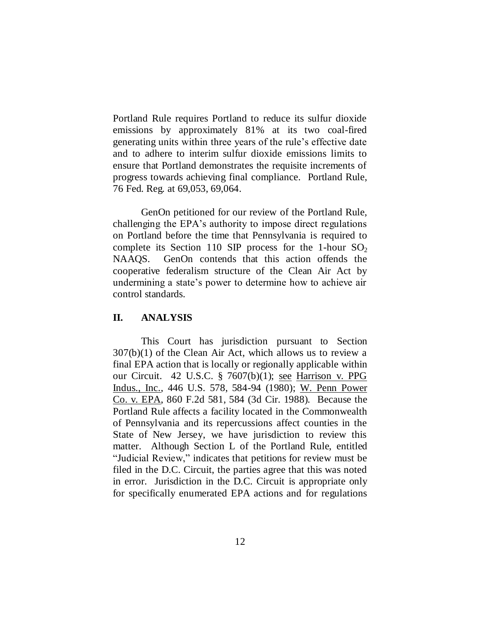Portland Rule requires Portland to reduce its sulfur dioxide emissions by approximately 81% at its two coal-fired generating units within three years of the rule's effective date and to adhere to interim sulfur dioxide emissions limits to ensure that Portland demonstrates the requisite increments of progress towards achieving final compliance. Portland Rule, 76 Fed. Reg. at 69,053, 69,064.

GenOn petitioned for our review of the Portland Rule, challenging the EPA's authority to impose direct regulations on Portland before the time that Pennsylvania is required to complete its Section 110 SIP process for the 1-hour  $SO_2$ NAAQS. GenOn contends that this action offends the cooperative federalism structure of the Clean Air Act by undermining a state's power to determine how to achieve air control standards.

### **II. ANALYSIS**

This Court has jurisdiction pursuant to Section 307(b)(1) of the Clean Air Act, which allows us to review a final EPA action that is locally or regionally applicable within our Circuit. 42 U.S.C. § 7607(b)(1); see Harrison v. PPG Indus., Inc., 446 U.S. 578, 584-94 (1980); W. Penn Power Co. v. EPA, 860 F.2d 581, 584 (3d Cir. 1988). Because the Portland Rule affects a facility located in the Commonwealth of Pennsylvania and its repercussions affect counties in the State of New Jersey, we have jurisdiction to review this matter. Although Section L of the Portland Rule, entitled "Judicial Review," indicates that petitions for review must be filed in the D.C. Circuit, the parties agree that this was noted in error. Jurisdiction in the D.C. Circuit is appropriate only for specifically enumerated EPA actions and for regulations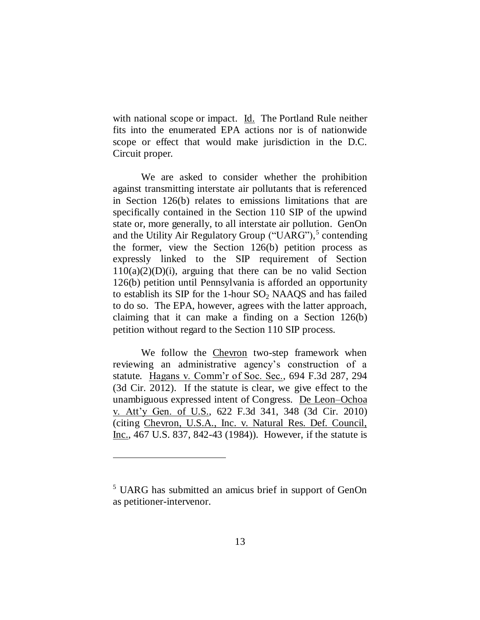with national scope or impact. Id. The Portland Rule neither fits into the enumerated EPA actions nor is of nationwide scope or effect that would make jurisdiction in the D.C. Circuit proper.

We are asked to consider whether the prohibition against transmitting interstate air pollutants that is referenced in Section 126(b) relates to emissions limitations that are specifically contained in the Section 110 SIP of the upwind state or, more generally, to all interstate air pollution. GenOn and the Utility Air Regulatory Group ("UARG"),<sup>5</sup> contending the former, view the Section 126(b) petition process as expressly linked to the SIP requirement of Section  $110(a)(2)(D)(i)$ , arguing that there can be no valid Section 126(b) petition until Pennsylvania is afforded an opportunity to establish its SIP for the 1-hour  $SO_2$  NAAQS and has failed to do so. The EPA, however, agrees with the latter approach, claiming that it can make a finding on a Section 126(b) petition without regard to the Section 110 SIP process.

We follow the Chevron two-step framework when reviewing an administrative agency's construction of a statute. Hagans v. Comm'r of Soc. Sec., 694 F.3d 287, 294 (3d Cir. 2012). If the statute is clear, we give effect to the unambiguous expressed intent of Congress. De Leon–Ochoa v. Att'y Gen. of U.S., 622 F.3d 341, 348 (3d Cir. 2010) (citing Chevron, U.S.A., Inc. v. Natural Res. Def. Council, Inc., 467 U.S. 837, 842-43 (1984)). However, if the statute is

<sup>&</sup>lt;sup>5</sup> UARG has submitted an amicus brief in support of GenOn as petitioner-intervenor.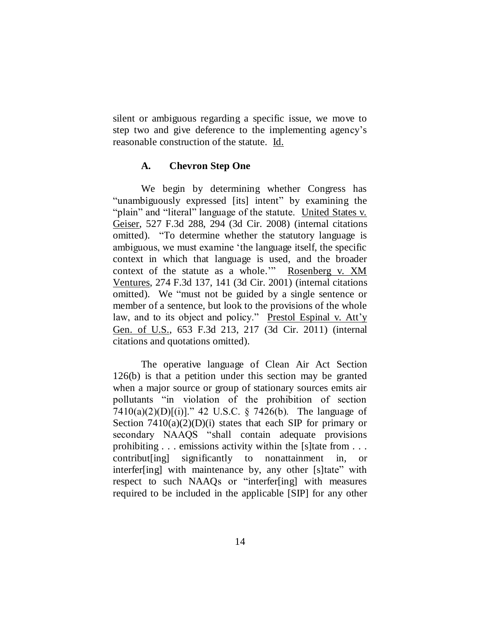silent or ambiguous regarding a specific issue, we move to step two and give deference to the implementing agency's reasonable construction of the statute. Id.

### **A. Chevron Step One**

We begin by determining whether Congress has "unambiguously expressed [its] intent" by examining the "plain" and "literal" language of the statute. United States v. Geiser, 527 F.3d 288, 294 (3d Cir. 2008) (internal citations omitted). "To determine whether the statutory language is ambiguous, we must examine 'the language itself, the specific context in which that language is used, and the broader context of the statute as a whole." Rosenberg v. XM Ventures, 274 F.3d 137, 141 (3d Cir. 2001) (internal citations omitted). We "must not be guided by a single sentence or member of a sentence, but look to the provisions of the whole law, and to its object and policy." Prestol Espinal v. Att'y Gen. of U.S., 653 F.3d 213, 217 (3d Cir. 2011) (internal citations and quotations omitted).

The operative language of Clean Air Act Section 126(b) is that a petition under this section may be granted when a major source or group of stationary sources emits air pollutants "in violation of the prohibition of section 7410(a)(2)(D)[(i)]." 42 U.S.C. § 7426(b). The language of Section  $7410(a)(2)(D)(i)$  states that each SIP for primary or secondary NAAQS "shall contain adequate provisions prohibiting . . . emissions activity within the [s]tate from . . . contribut[ing] significantly to nonattainment in, or interfer [ing] with maintenance by, any other [s] tate" with respect to such NAAQs or "interfer[ing] with measures required to be included in the applicable [SIP] for any other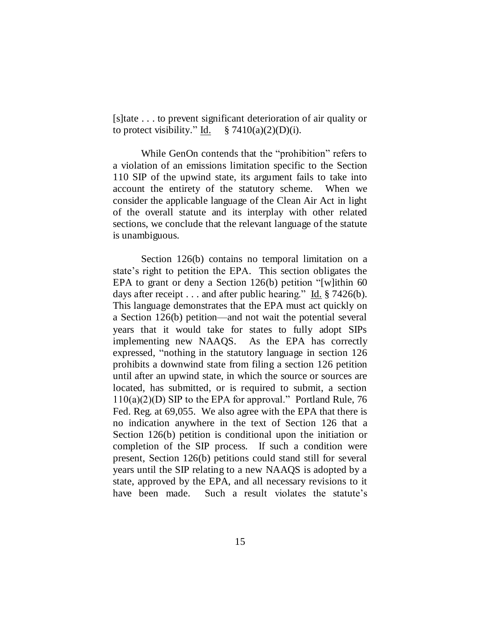[s]tate . . . to prevent significant deterioration of air quality or to protect visibility." Id.  $\frac{8}{7410(a)(2)(D)(i)}$ .

While GenOn contends that the "prohibition" refers to a violation of an emissions limitation specific to the Section 110 SIP of the upwind state, its argument fails to take into account the entirety of the statutory scheme. When we consider the applicable language of the Clean Air Act in light of the overall statute and its interplay with other related sections, we conclude that the relevant language of the statute is unambiguous.

Section 126(b) contains no temporal limitation on a state's right to petition the EPA. This section obligates the EPA to grant or deny a Section  $126(b)$  petition "[w]ithin 60 days after receipt  $\dots$  and after public hearing." Id. § 7426(b). This language demonstrates that the EPA must act quickly on a Section 126(b) petition—and not wait the potential several years that it would take for states to fully adopt SIPs implementing new NAAQS. As the EPA has correctly expressed, "nothing in the statutory language in section 126 prohibits a downwind state from filing a section 126 petition until after an upwind state, in which the source or sources are located, has submitted, or is required to submit, a section  $110(a)(2)(D)$  SIP to the EPA for approval." Portland Rule, 76 Fed. Reg. at 69,055. We also agree with the EPA that there is no indication anywhere in the text of Section 126 that a Section 126(b) petition is conditional upon the initiation or completion of the SIP process. If such a condition were present, Section 126(b) petitions could stand still for several years until the SIP relating to a new NAAQS is adopted by a state, approved by the EPA, and all necessary revisions to it have been made. Such a result violates the statute's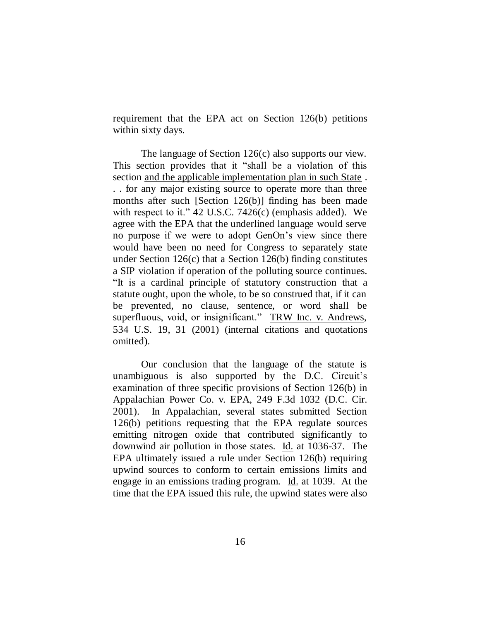requirement that the EPA act on Section 126(b) petitions within sixty days.

The language of Section 126(c) also supports our view. This section provides that it "shall be a violation of this section and the applicable implementation plan in such State . . . for any major existing source to operate more than three months after such [Section 126(b)] finding has been made with respect to it." 42 U.S.C. 7426 $(c)$  (emphasis added). We agree with the EPA that the underlined language would serve no purpose if we were to adopt GenOn's view since there would have been no need for Congress to separately state under Section 126(c) that a Section 126(b) finding constitutes a SIP violation if operation of the polluting source continues. ―It is a cardinal principle of statutory construction that a statute ought, upon the whole, to be so construed that, if it can be prevented, no clause, sentence, or word shall be superfluous, void, or insignificant." TRW Inc. v. Andrews, 534 U.S. 19, 31 (2001) (internal citations and quotations omitted).

Our conclusion that the language of the statute is unambiguous is also supported by the D.C. Circuit's examination of three specific provisions of Section 126(b) in Appalachian Power Co. v. EPA, 249 F.3d 1032 (D.C. Cir. 2001). In Appalachian, several states submitted Section 126(b) petitions requesting that the EPA regulate sources emitting nitrogen oxide that contributed significantly to downwind air pollution in those states. Id. at 1036-37. The EPA ultimately issued a rule under Section 126(b) requiring upwind sources to conform to certain emissions limits and engage in an emissions trading program. Id. at 1039. At the time that the EPA issued this rule, the upwind states were also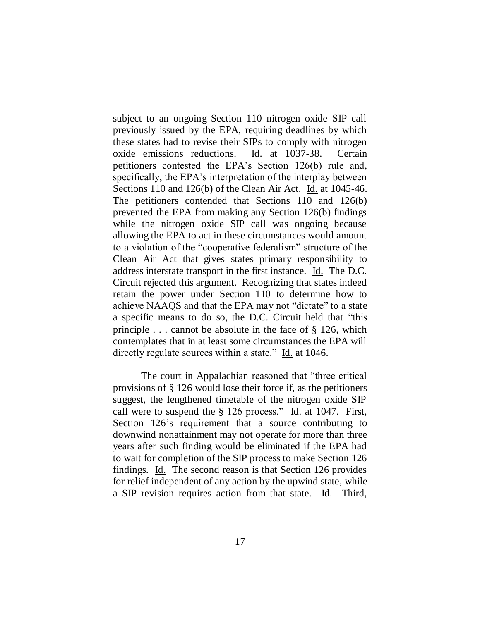subject to an ongoing Section 110 nitrogen oxide SIP call previously issued by the EPA, requiring deadlines by which these states had to revise their SIPs to comply with nitrogen oxide emissions reductions. Id. at 1037-38. Certain petitioners contested the EPA's Section 126(b) rule and, specifically, the EPA's interpretation of the interplay between Sections 110 and 126(b) of the Clean Air Act. Id. at 1045-46. The petitioners contended that Sections 110 and 126(b) prevented the EPA from making any Section 126(b) findings while the nitrogen oxide SIP call was ongoing because allowing the EPA to act in these circumstances would amount to a violation of the "cooperative federalism" structure of the Clean Air Act that gives states primary responsibility to address interstate transport in the first instance. Id. The D.C. Circuit rejected this argument. Recognizing that states indeed retain the power under Section 110 to determine how to achieve NAAQS and that the EPA may not "dictate" to a state a specific means to do so, the D.C. Circuit held that "this principle  $\ldots$  cannot be absolute in the face of § 126, which contemplates that in at least some circumstances the EPA will directly regulate sources within a state." Id. at 1046.

The court in Appalachian reasoned that "three critical provisions of § 126 would lose their force if, as the petitioners suggest, the lengthened timetable of the nitrogen oxide SIP call were to suspend the  $\S$  126 process." Id. at 1047. First, Section 126's requirement that a source contributing to downwind nonattainment may not operate for more than three years after such finding would be eliminated if the EPA had to wait for completion of the SIP process to make Section 126 findings. Id. The second reason is that Section 126 provides for relief independent of any action by the upwind state, while a SIP revision requires action from that state. Id. Third,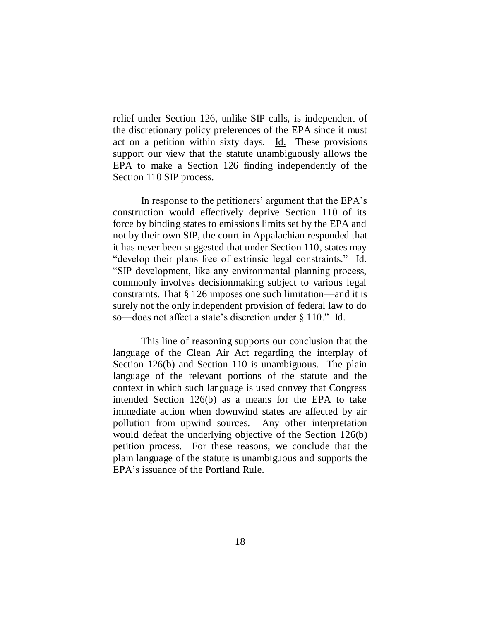relief under Section 126, unlike SIP calls, is independent of the discretionary policy preferences of the EPA since it must act on a petition within sixty days. Id. These provisions support our view that the statute unambiguously allows the EPA to make a Section 126 finding independently of the Section 110 SIP process.

In response to the petitioners' argument that the EPA's construction would effectively deprive Section 110 of its force by binding states to emissions limits set by the EPA and not by their own SIP, the court in Appalachian responded that it has never been suggested that under Section 110, states may "develop their plans free of extrinsic legal constraints." Id. ―SIP development, like any environmental planning process, commonly involves decisionmaking subject to various legal constraints. That § 126 imposes one such limitation—and it is surely not the only independent provision of federal law to do so—does not affect a state's discretion under  $\S 110$ ." Id.

This line of reasoning supports our conclusion that the language of the Clean Air Act regarding the interplay of Section 126(b) and Section 110 is unambiguous. The plain language of the relevant portions of the statute and the context in which such language is used convey that Congress intended Section 126(b) as a means for the EPA to take immediate action when downwind states are affected by air pollution from upwind sources. Any other interpretation would defeat the underlying objective of the Section 126(b) petition process. For these reasons, we conclude that the plain language of the statute is unambiguous and supports the EPA's issuance of the Portland Rule.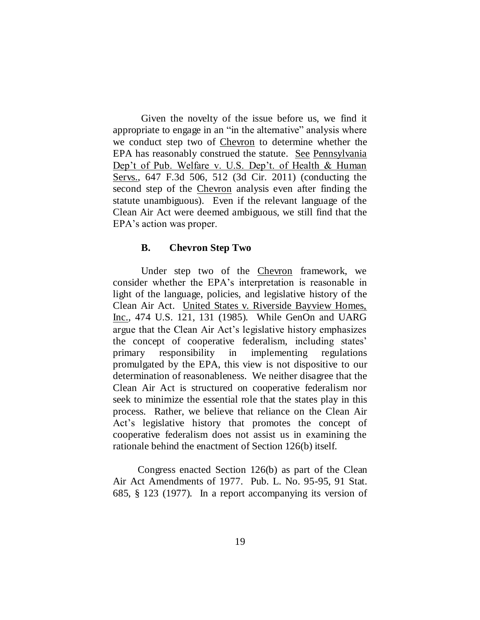Given the novelty of the issue before us, we find it appropriate to engage in an "in the alternative" analysis where we conduct step two of Chevron to determine whether the EPA has reasonably construed the statute. See Pennsylvania Dep't of Pub. Welfare v. U.S. Dep't. of Health & Human Servs., 647 F.3d 506, 512 (3d Cir. 2011) (conducting the second step of the Chevron analysis even after finding the statute unambiguous). Even if the relevant language of the Clean Air Act were deemed ambiguous, we still find that the EPA's action was proper.

#### **B. Chevron Step Two**

Under step two of the Chevron framework, we consider whether the EPA's interpretation is reasonable in light of the language, policies, and legislative history of the Clean Air Act. United States v. Riverside Bayview Homes, Inc., 474 U.S. 121, 131 (1985). While GenOn and UARG argue that the Clean Air Act's legislative history emphasizes the concept of cooperative federalism, including states' primary responsibility in implementing regulations promulgated by the EPA, this view is not dispositive to our determination of reasonableness. We neither disagree that the Clean Air Act is structured on cooperative federalism nor seek to minimize the essential role that the states play in this process. Rather, we believe that reliance on the Clean Air Act's legislative history that promotes the concept of cooperative federalism does not assist us in examining the rationale behind the enactment of Section 126(b) itself.

Congress enacted Section 126(b) as part of the Clean Air Act Amendments of 1977. Pub. L. No. 95-95, 91 Stat. 685, § 123 (1977). In a report accompanying its version of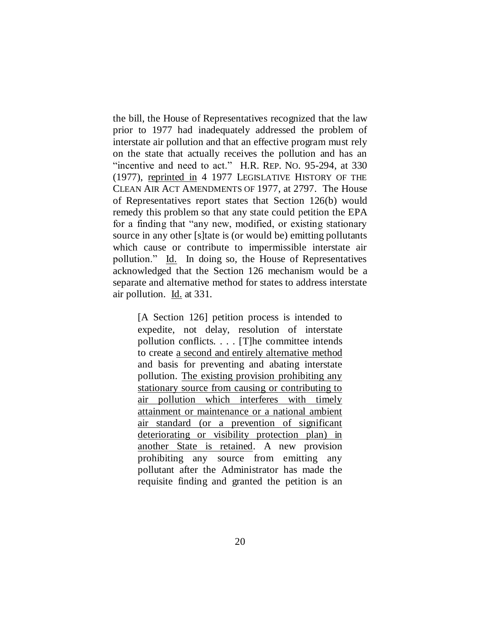the bill, the House of Representatives recognized that the law prior to 1977 had inadequately addressed the problem of interstate air pollution and that an effective program must rely on the state that actually receives the pollution and has an "incentive and need to act." H.R. REP. No. 95-294, at 330 (1977), reprinted in 4 1977 LEGISLATIVE HISTORY OF THE CLEAN AIR ACT AMENDMENTS OF 1977, at 2797. The House of Representatives report states that Section 126(b) would remedy this problem so that any state could petition the EPA for a finding that "any new, modified, or existing stationary source in any other [s]tate is (or would be) emitting pollutants which cause or contribute to impermissible interstate air pollution.‖ Id. In doing so, the House of Representatives acknowledged that the Section 126 mechanism would be a separate and alternative method for states to address interstate air pollution. Id. at 331.

[A Section 126] petition process is intended to expedite, not delay, resolution of interstate pollution conflicts. . . . [T]he committee intends to create a second and entirely alternative method and basis for preventing and abating interstate pollution. The existing provision prohibiting any stationary source from causing or contributing to air pollution which interferes with timely attainment or maintenance or a national ambient air standard (or a prevention of significant deteriorating or visibility protection plan) in another State is retained. A new provision prohibiting any source from emitting any pollutant after the Administrator has made the requisite finding and granted the petition is an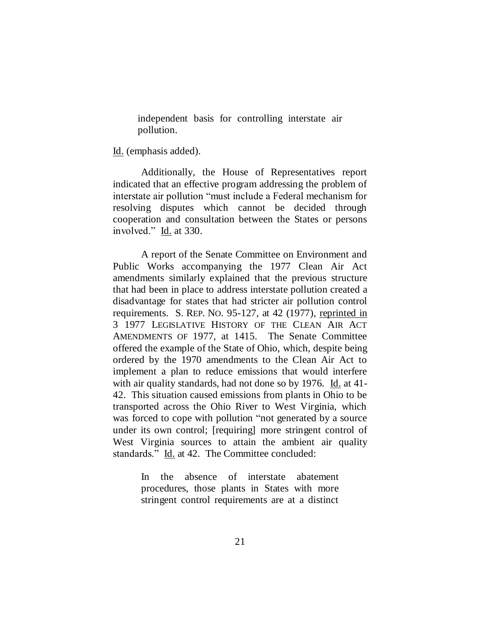independent basis for controlling interstate air pollution.

Id. (emphasis added).

Additionally, the House of Representatives report indicated that an effective program addressing the problem of interstate air pollution "must include a Federal mechanism for resolving disputes which cannot be decided through cooperation and consultation between the States or persons involved." Id. at 330.

A report of the Senate Committee on Environment and Public Works accompanying the 1977 Clean Air Act amendments similarly explained that the previous structure that had been in place to address interstate pollution created a disadvantage for states that had stricter air pollution control requirements. S. REP. NO. 95-127, at 42 (1977), reprinted in 3 1977 LEGISLATIVE HISTORY OF THE CLEAN AIR ACT AMENDMENTS OF 1977, at 1415. The Senate Committee offered the example of the State of Ohio, which, despite being ordered by the 1970 amendments to the Clean Air Act to implement a plan to reduce emissions that would interfere with air quality standards, had not done so by 1976. Id. at 41- 42. This situation caused emissions from plants in Ohio to be transported across the Ohio River to West Virginia, which was forced to cope with pollution "not generated by a source" under its own control; [requiring] more stringent control of West Virginia sources to attain the ambient air quality standards." Id. at 42. The Committee concluded:

> In the absence of interstate abatement procedures, those plants in States with more stringent control requirements are at a distinct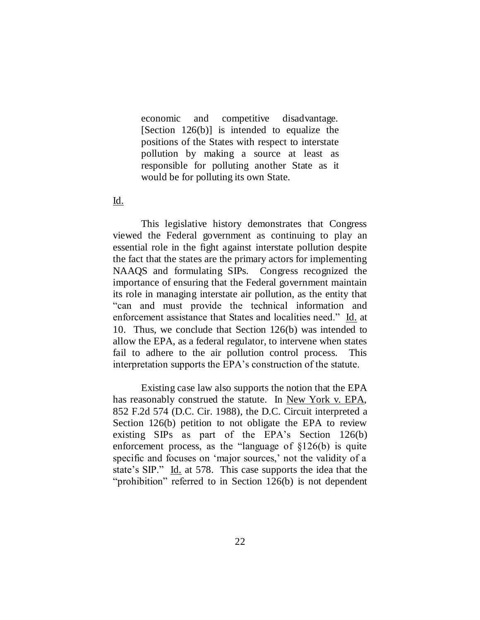economic and competitive disadvantage. [Section 126(b)] is intended to equalize the positions of the States with respect to interstate pollution by making a source at least as responsible for polluting another State as it would be for polluting its own State.

### Id.

This legislative history demonstrates that Congress viewed the Federal government as continuing to play an essential role in the fight against interstate pollution despite the fact that the states are the primary actors for implementing NAAQS and formulating SIPs. Congress recognized the importance of ensuring that the Federal government maintain its role in managing interstate air pollution, as the entity that ―can and must provide the technical information and enforcement assistance that States and localities need." Id. at 10. Thus, we conclude that Section 126(b) was intended to allow the EPA, as a federal regulator, to intervene when states fail to adhere to the air pollution control process. This interpretation supports the EPA's construction of the statute.

Existing case law also supports the notion that the EPA has reasonably construed the statute. In New York v. EPA, 852 F.2d 574 (D.C. Cir. 1988), the D.C. Circuit interpreted a Section 126(b) petition to not obligate the EPA to review existing SIPs as part of the EPA's Section 126(b) enforcement process, as the "language of  $$126(b)$  is quite specific and focuses on 'major sources,' not the validity of a state's SIP." Id. at 578. This case supports the idea that the "prohibition" referred to in Section  $126(b)$  is not dependent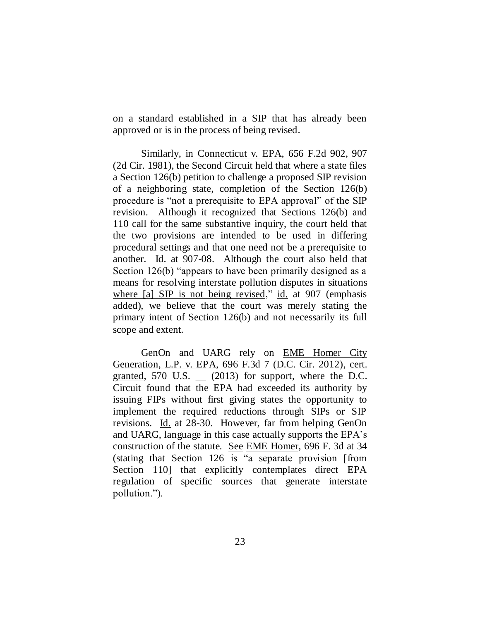on a standard established in a SIP that has already been approved or is in the process of being revised.

Similarly, in Connecticut v. EPA, 656 F.2d 902, 907 (2d Cir. 1981), the Second Circuit held that where a state files a Section 126(b) petition to challenge a proposed SIP revision of a neighboring state, completion of the Section 126(b) procedure is "not a prerequisite to EPA approval" of the SIP revision. Although it recognized that Sections 126(b) and 110 call for the same substantive inquiry, the court held that the two provisions are intended to be used in differing procedural settings and that one need not be a prerequisite to another. Id. at 907-08. Although the court also held that Section  $126(b)$  "appears to have been primarily designed as a means for resolving interstate pollution disputes in situations where  $[a]$  SIP is not being revised," id. at 907 (emphasis added), we believe that the court was merely stating the primary intent of Section 126(b) and not necessarily its full scope and extent.

GenOn and UARG rely on EME Homer City Generation, L.P. v. EPA, 696 F.3d 7 (D.C. Cir. 2012), cert. granted,  $570$  U.S.  $\qquad$  (2013) for support, where the D.C. Circuit found that the EPA had exceeded its authority by issuing FIPs without first giving states the opportunity to implement the required reductions through SIPs or SIP revisions. Id. at 28-30. However, far from helping GenOn and UARG, language in this case actually supports the EPA's construction of the statute. See EME Homer, 696 F. 3d at 34 (stating that Section 126 is "a separate provision  $[from]$ Section 110] that explicitly contemplates direct EPA regulation of specific sources that generate interstate pollution.").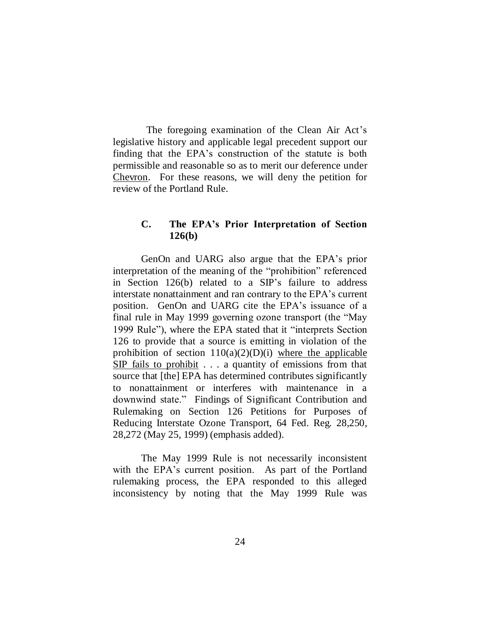The foregoing examination of the Clean Air Act's legislative history and applicable legal precedent support our finding that the EPA's construction of the statute is both permissible and reasonable so as to merit our deference under Chevron. For these reasons, we will deny the petition for review of the Portland Rule.

# **C. The EPA's Prior Interpretation of Section 126(b)**

GenOn and UARG also argue that the EPA's prior interpretation of the meaning of the "prohibition" referenced in Section 126(b) related to a SIP's failure to address interstate nonattainment and ran contrary to the EPA's current position. GenOn and UARG cite the EPA's issuance of a final rule in May 1999 governing ozone transport (the "May 1999 Rule"), where the EPA stated that it "interprets Section 126 to provide that a source is emitting in violation of the prohibition of section  $110(a)(2)(D)(i)$  where the applicable SIP fails to prohibit . . . a quantity of emissions from that source that [the] EPA has determined contributes significantly to nonattainment or interferes with maintenance in a downwind state." Findings of Significant Contribution and Rulemaking on Section 126 Petitions for Purposes of Reducing Interstate Ozone Transport, 64 Fed. Reg. 28,250, 28,272 (May 25, 1999) (emphasis added).

The May 1999 Rule is not necessarily inconsistent with the EPA's current position. As part of the Portland rulemaking process, the EPA responded to this alleged inconsistency by noting that the May 1999 Rule was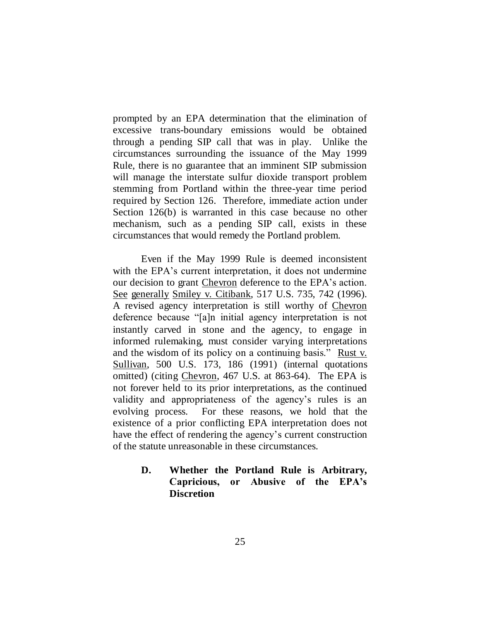prompted by an EPA determination that the elimination of excessive trans-boundary emissions would be obtained through a pending SIP call that was in play. Unlike the circumstances surrounding the issuance of the May 1999 Rule, there is no guarantee that an imminent SIP submission will manage the interstate sulfur dioxide transport problem stemming from Portland within the three-year time period required by Section 126. Therefore, immediate action under Section 126(b) is warranted in this case because no other mechanism, such as a pending SIP call, exists in these circumstances that would remedy the Portland problem.

Even if the May 1999 Rule is deemed inconsistent with the EPA's current interpretation, it does not undermine our decision to grant Chevron deference to the EPA's action. See generally Smiley v. Citibank, 517 U.S. 735, 742 (1996). A revised agency interpretation is still worthy of Chevron deference because "[a]n initial agency interpretation is not instantly carved in stone and the agency, to engage in informed rulemaking, must consider varying interpretations and the wisdom of its policy on a continuing basis." Rust v. Sullivan, 500 U.S. 173, 186 (1991) (internal quotations omitted) (citing Chevron, 467 U.S. at 863-64). The EPA is not forever held to its prior interpretations, as the continued validity and appropriateness of the agency's rules is an evolving process. For these reasons, we hold that the existence of a prior conflicting EPA interpretation does not have the effect of rendering the agency's current construction of the statute unreasonable in these circumstances.

# **D. Whether the Portland Rule is Arbitrary, Capricious, or Abusive of the EPA's Discretion**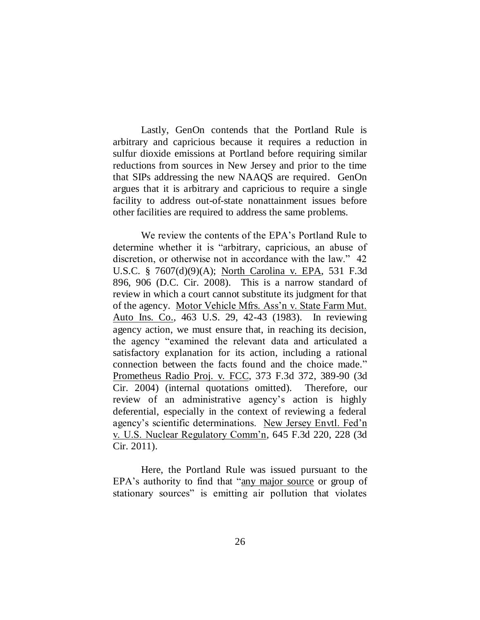Lastly, GenOn contends that the Portland Rule is arbitrary and capricious because it requires a reduction in sulfur dioxide emissions at Portland before requiring similar reductions from sources in New Jersey and prior to the time that SIPs addressing the new NAAQS are required. GenOn argues that it is arbitrary and capricious to require a single facility to address out-of-state nonattainment issues before other facilities are required to address the same problems.

We review the contents of the EPA's Portland Rule to determine whether it is "arbitrary, capricious, an abuse of discretion, or otherwise not in accordance with the law." 42 U.S.C. § 7607(d)(9)(A); North Carolina v. EPA, 531 F.3d 896, 906 (D.C. Cir. 2008). This is a narrow standard of review in which a court cannot substitute its judgment for that of the agency. Motor Vehicle Mfrs. Ass'n v. State Farm Mut. Auto Ins. Co., 463 U.S. 29, 42-43 (1983). In reviewing agency action, we must ensure that, in reaching its decision, the agency "examined the relevant data and articulated a satisfactory explanation for its action, including a rational connection between the facts found and the choice made." Prometheus Radio Proj. v. FCC, 373 F.3d 372, 389-90 (3d Cir. 2004) (internal quotations omitted). Therefore, our review of an administrative agency's action is highly deferential, especially in the context of reviewing a federal agency's scientific determinations. New Jersey Envtl. Fed'n v. U.S. Nuclear Regulatory Comm'n, 645 F.3d 220, 228 (3d Cir. 2011).

Here, the Portland Rule was issued pursuant to the EPA's authority to find that "any major source or group of stationary sources" is emitting air pollution that violates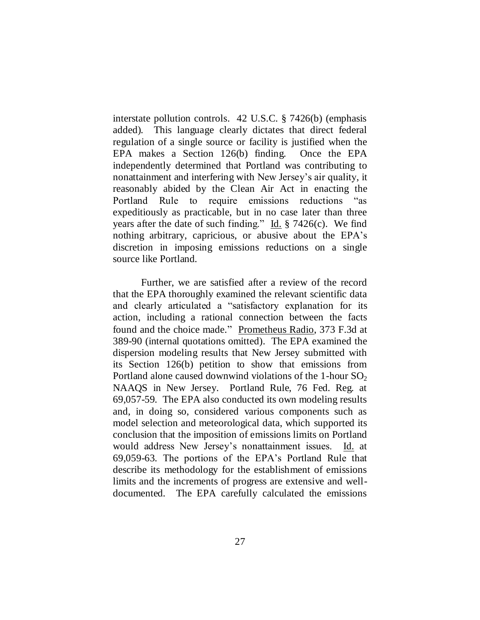interstate pollution controls. 42 U.S.C. § 7426(b) (emphasis added). This language clearly dictates that direct federal regulation of a single source or facility is justified when the EPA makes a Section 126(b) finding. Once the EPA independently determined that Portland was contributing to nonattainment and interfering with New Jersey's air quality, it reasonably abided by the Clean Air Act in enacting the Portland Rule to require emissions reductions "as expeditiously as practicable, but in no case later than three years after the date of such finding." Id.  $\S$  7426(c). We find nothing arbitrary, capricious, or abusive about the EPA's discretion in imposing emissions reductions on a single source like Portland.

Further, we are satisfied after a review of the record that the EPA thoroughly examined the relevant scientific data and clearly articulated a "satisfactory explanation for its action, including a rational connection between the facts found and the choice made." Prometheus Radio, 373 F.3d at 389-90 (internal quotations omitted). The EPA examined the dispersion modeling results that New Jersey submitted with its Section 126(b) petition to show that emissions from Portland alone caused downwind violations of the 1-hour  $SO_2$ NAAQS in New Jersey. Portland Rule, 76 Fed. Reg. at 69,057-59. The EPA also conducted its own modeling results and, in doing so, considered various components such as model selection and meteorological data, which supported its conclusion that the imposition of emissions limits on Portland would address New Jersey's nonattainment issues. Id. at 69,059-63. The portions of the EPA's Portland Rule that describe its methodology for the establishment of emissions limits and the increments of progress are extensive and welldocumented. The EPA carefully calculated the emissions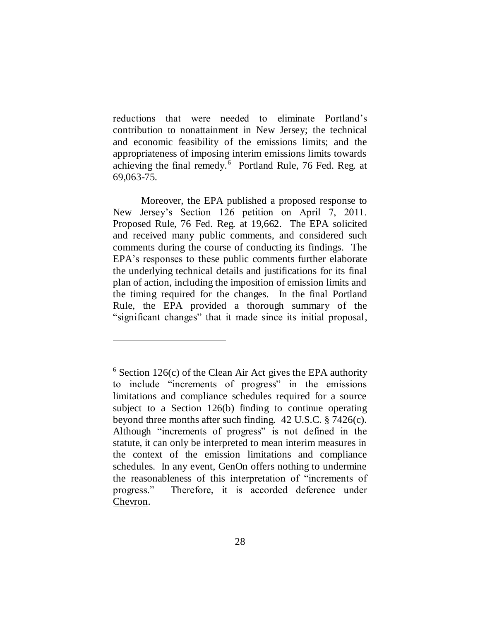reductions that were needed to eliminate Portland's contribution to nonattainment in New Jersey; the technical and economic feasibility of the emissions limits; and the appropriateness of imposing interim emissions limits towards achieving the final remedy.<sup>6</sup> Portland Rule, 76 Fed. Reg. at 69,063-75.

Moreover, the EPA published a proposed response to New Jersey's Section 126 petition on April 7, 2011. Proposed Rule, 76 Fed. Reg. at 19,662. The EPA solicited and received many public comments, and considered such comments during the course of conducting its findings. The EPA's responses to these public comments further elaborate the underlying technical details and justifications for its final plan of action, including the imposition of emission limits and the timing required for the changes. In the final Portland Rule, the EPA provided a thorough summary of the "significant changes" that it made since its initial proposal,

 $6$  Section 126(c) of the Clean Air Act gives the EPA authority to include "increments of progress" in the emissions limitations and compliance schedules required for a source subject to a Section 126(b) finding to continue operating beyond three months after such finding. 42 U.S.C. § 7426(c). Although "increments of progress" is not defined in the statute, it can only be interpreted to mean interim measures in the context of the emission limitations and compliance schedules. In any event, GenOn offers nothing to undermine the reasonableness of this interpretation of "increments of progress.‖ Therefore, it is accorded deference under Chevron.